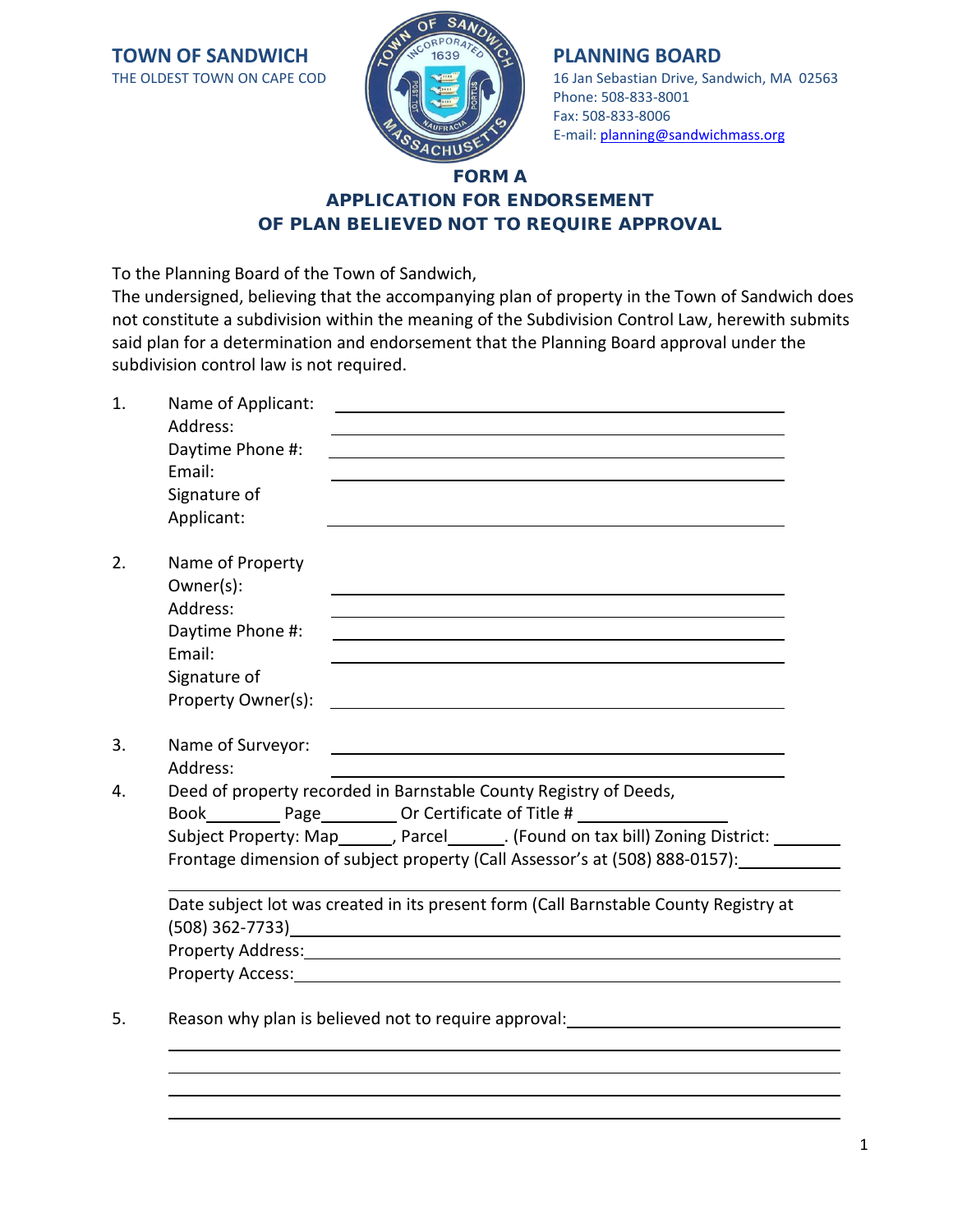**TOWN OF SANDWICH THE OLDEST TOWN ON CAPE COD** 



# 16 Jan Sebastian Drive, Sandwich, MA 02563 Phone: 508-833-8001 Fax: 508-833-8006 E-mail: [planning@sandwichmass.org](mailto:planning@sandwichmass.org)

## FORM A APPLICATION FOR ENDORSEMENT OF PLAN BELIEVED NOT TO REQUIRE APPROVAL

To the Planning Board of the Town of Sandwich,

The undersigned, believing that the accompanying plan of property in the Town of Sandwich does not constitute a subdivision within the meaning of the Subdivision Control Law, herewith submits said plan for a determination and endorsement that the Planning Board approval under the subdivision control law is not required.

| 1. | Name of Applicant:                                                                                                    | <u> 1989 - Johann Barbara, martxa alemaniar argametria (h. 1989).</u>                                                   |
|----|-----------------------------------------------------------------------------------------------------------------------|-------------------------------------------------------------------------------------------------------------------------|
|    | Address:                                                                                                              | and the control of the control of the control of the control of the control of the control of the control of the        |
|    | Daytime Phone #:<br>Email:                                                                                            |                                                                                                                         |
|    |                                                                                                                       |                                                                                                                         |
|    | Signature of                                                                                                          |                                                                                                                         |
|    | Applicant:                                                                                                            |                                                                                                                         |
| 2. | Name of Property                                                                                                      |                                                                                                                         |
|    | Owner(s):                                                                                                             |                                                                                                                         |
|    | Address:                                                                                                              |                                                                                                                         |
|    | Daytime Phone #:                                                                                                      |                                                                                                                         |
|    | Email:                                                                                                                |                                                                                                                         |
|    | Signature of                                                                                                          |                                                                                                                         |
|    | Property Owner(s):                                                                                                    |                                                                                                                         |
|    |                                                                                                                       |                                                                                                                         |
| 3. | Name of Surveyor:                                                                                                     | <u> 1989 - Johann Barbert Barbert Barbert Barbert Barbert Barbert Barbert Barbert Barbert Barbert Barbert Barbert B</u> |
|    | Address:                                                                                                              |                                                                                                                         |
| 4. | Deed of property recorded in Barnstable County Registry of Deeds,                                                     |                                                                                                                         |
|    |                                                                                                                       | Book____________Page____________Or Certificate of Title # ______________________                                        |
|    |                                                                                                                       | Subject Property: Map_______, Parcel_______. (Found on tax bill) Zoning District: _____                                 |
|    | Frontage dimension of subject property (Call Assessor's at (508) 888-0157):                                           |                                                                                                                         |
|    |                                                                                                                       |                                                                                                                         |
|    | Date subject lot was created in its present form (Call Barnstable County Registry at                                  |                                                                                                                         |
|    |                                                                                                                       |                                                                                                                         |
|    | Property Address: National Accounts and Accounts and Accounts and Accounts and Accounts and Accounts and Accounts and |                                                                                                                         |
|    |                                                                                                                       |                                                                                                                         |
|    |                                                                                                                       |                                                                                                                         |
| 5. |                                                                                                                       | Reason why plan is believed not to require approval:                                                                    |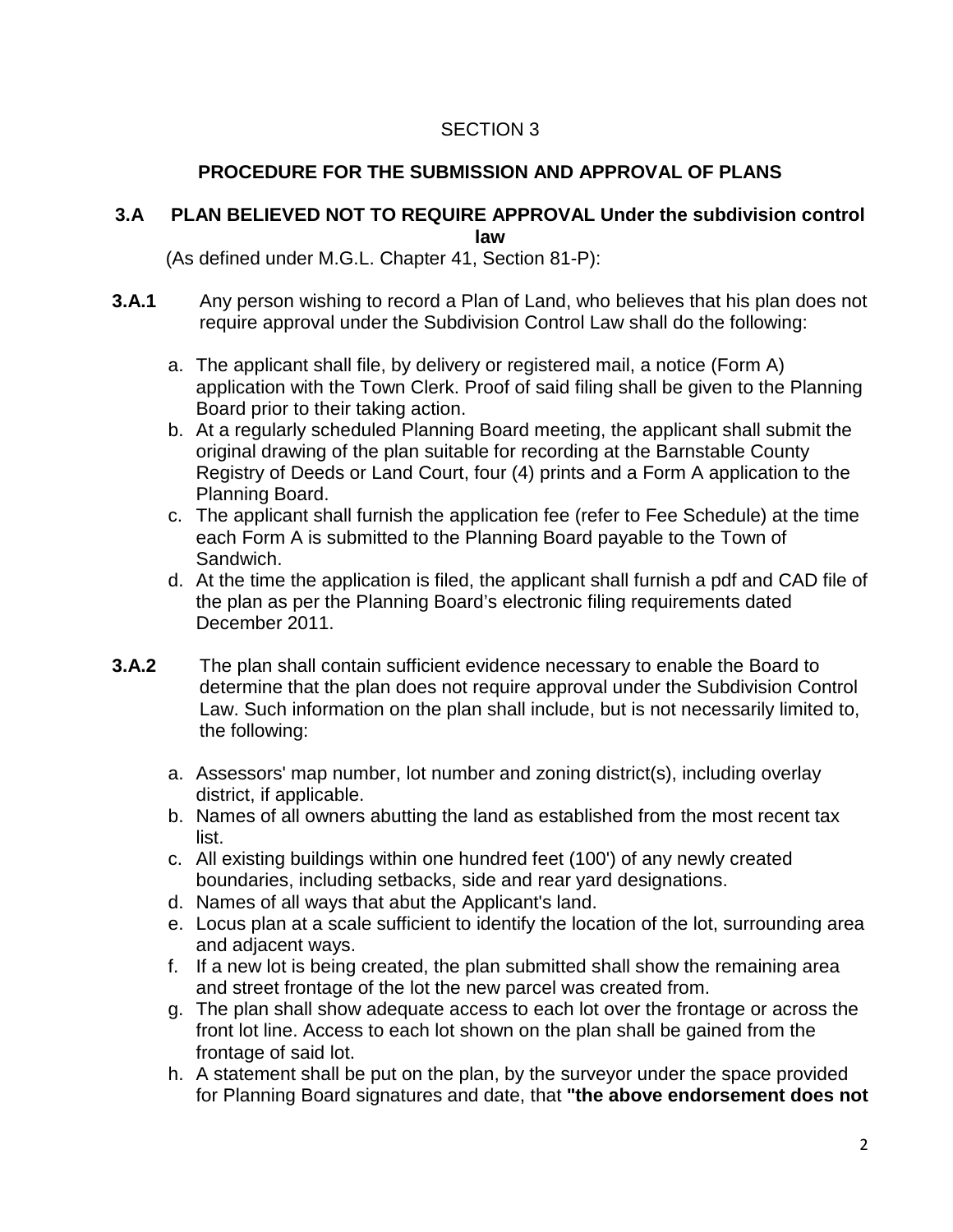## SECTION 3

# **PROCEDURE FOR THE SUBMISSION AND APPROVAL OF PLANS**

### **3.A PLAN BELIEVED NOT TO REQUIRE APPROVAL Under the subdivision control law**

(As defined under M.G.L. Chapter 41, Section 81-P):

- **3.A.1** Any person wishing to record a Plan of Land, who believes that his plan does not require approval under the Subdivision Control Law shall do the following:
	- a. The applicant shall file, by delivery or registered mail, a notice (Form A) application with the Town Clerk. Proof of said filing shall be given to the Planning Board prior to their taking action.
	- b. At a regularly scheduled Planning Board meeting, the applicant shall submit the original drawing of the plan suitable for recording at the Barnstable County Registry of Deeds or Land Court, four (4) prints and a Form A application to the Planning Board.
	- c. The applicant shall furnish the application fee (refer to Fee Schedule) at the time each Form A is submitted to the Planning Board payable to the Town of Sandwich.
	- d. At the time the application is filed, the applicant shall furnish a pdf and CAD file of the plan as per the Planning Board's electronic filing requirements dated December 2011.
- **3.A.2** The plan shall contain sufficient evidence necessary to enable the Board to determine that the plan does not require approval under the Subdivision Control Law. Such information on the plan shall include, but is not necessarily limited to, the following:
	- a. Assessors' map number, lot number and zoning district(s), including overlay district, if applicable.
	- b. Names of all owners abutting the land as established from the most recent tax list.
	- c. All existing buildings within one hundred feet (100') of any newly created boundaries, including setbacks, side and rear yard designations.
	- d. Names of all ways that abut the Applicant's land.
	- e. Locus plan at a scale sufficient to identify the location of the lot, surrounding area and adjacent ways.
	- f. If a new lot is being created, the plan submitted shall show the remaining area and street frontage of the lot the new parcel was created from.
	- g. The plan shall show adequate access to each lot over the frontage or across the front lot line. Access to each lot shown on the plan shall be gained from the frontage of said lot.
	- h. A statement shall be put on the plan, by the surveyor under the space provided for Planning Board signatures and date, that **"the above endorsement does not**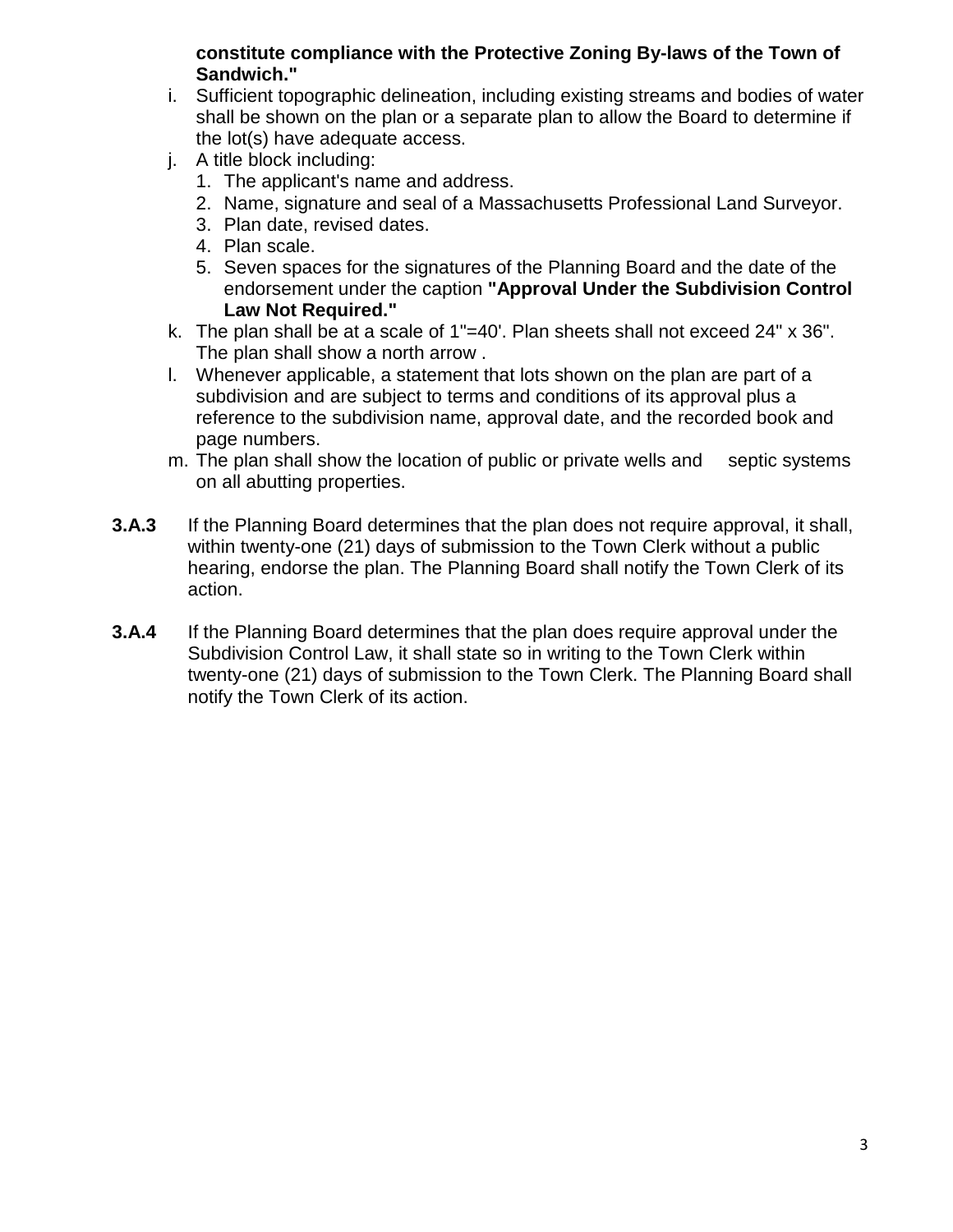### **constitute compliance with the Protective Zoning By-laws of the Town of Sandwich."**

- i. Sufficient topographic delineation, including existing streams and bodies of water shall be shown on the plan or a separate plan to allow the Board to determine if the lot(s) have adequate access.
- j. A title block including:
	- 1. The applicant's name and address.
	- 2. Name, signature and seal of a Massachusetts Professional Land Surveyor.
	- 3. Plan date, revised dates.
	- 4. Plan scale.
	- 5. Seven spaces for the signatures of the Planning Board and the date of the endorsement under the caption **"Approval Under the Subdivision Control Law Not Required."**
- k. The plan shall be at a scale of 1"=40'. Plan sheets shall not exceed 24" x 36". The plan shall show a north arrow .
- l. Whenever applicable, a statement that lots shown on the plan are part of a subdivision and are subject to terms and conditions of its approval plus a reference to the subdivision name, approval date, and the recorded book and page numbers.
- m. The plan shall show the location of public or private wells and septic systems on all abutting properties.
- **3.A.3** If the Planning Board determines that the plan does not require approval, it shall, within twenty-one (21) days of submission to the Town Clerk without a public hearing, endorse the plan. The Planning Board shall notify the Town Clerk of its action.
- **3.A.4** If the Planning Board determines that the plan does require approval under the Subdivision Control Law, it shall state so in writing to the Town Clerk within twenty-one (21) days of submission to the Town Clerk. The Planning Board shall notify the Town Clerk of its action.